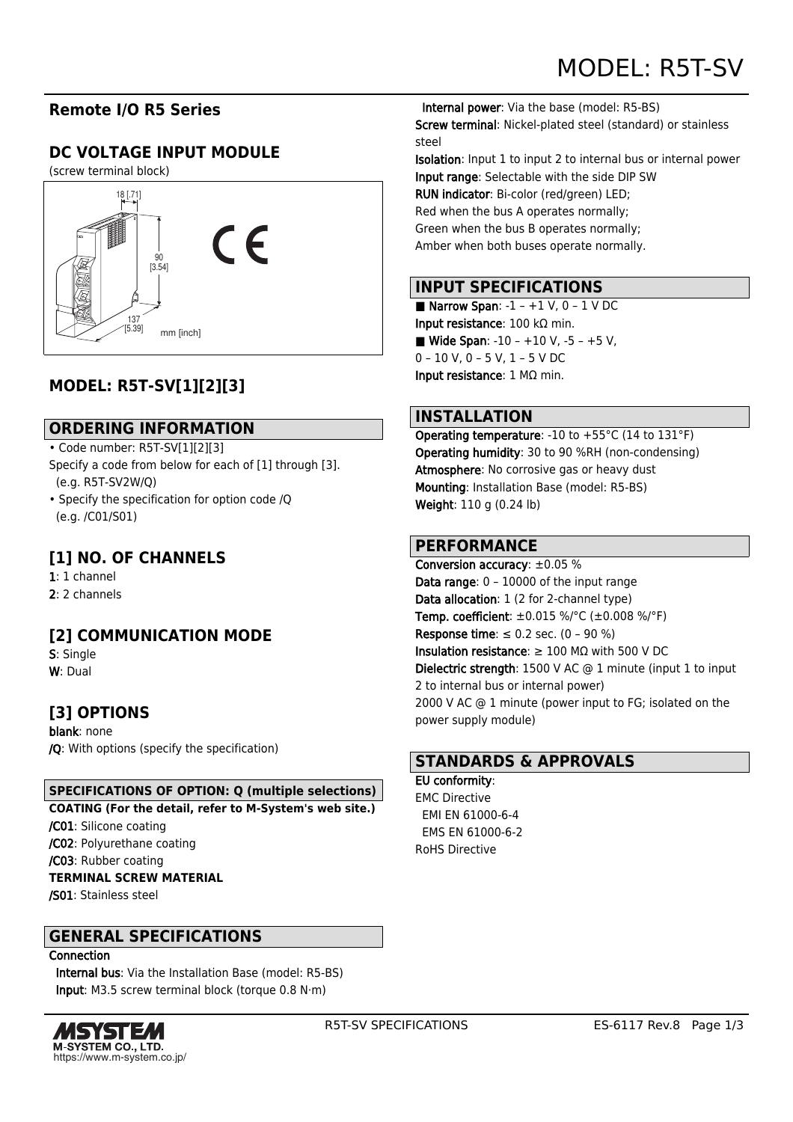## **Remote I/O R5 Series**

# **DC VOLTAGE INPUT MODULE**

(screw terminal block)



# **MODEL: R5T-SV[1][2][3]**

#### **ORDERING INFORMATION**

- Code number: R5T-SV[1][2][3]
- Specify a code from below for each of [1] through [3]. (e.g. R5T-SV2W/Q)
- Specify the specification for option code /Q (e.g. /C01/S01)

## **[1] NO. OF CHANNELS**

1: 1 channel 2: 2 channels

### **[2] COMMUNICATION MODE**

S: Single W: Dual

## **[3] OPTIONS**

blank: none /Q: With options (specify the specification)

#### **SPECIFICATIONS OF OPTION: Q (multiple selections)**

**COATING (For the detail, refer to M-System's web site.)**

/C01: Silicone coating

/C02: Polyurethane coating

/C03: Rubber coating

#### **TERMINAL SCREW MATERIAL**

/S01: Stainless steel

#### **GENERAL SPECIFICATIONS**

**Connection** 

 Internal bus: Via the Installation Base (model: R5-BS) Input: M3.5 screw terminal block (torque 0.8 N·m)



 Internal power: Via the base (model: R5-BS) Screw terminal: Nickel-plated steel (standard) or stainless steel

Isolation: Input 1 to input 2 to internal bus or internal power Input range: Selectable with the side DIP SW RUN indicator: Bi-color (red/green) LED; Red when the bus A operates normally; Green when the bus B operates normally; Amber when both buses operate normally.

## **INPUT SPECIFICATIONS**

Narrow Span:  $-1 - +1$  V, 0  $-1$  V DC Input resistance: 100 kΩ min. ■ Wide Span:  $-10 - +10$  V,  $-5 - +5$  V, 0 – 10 V, 0 – 5 V, 1 – 5 V DC Input resistance: 1 MΩ min.

#### **INSTALLATION**

Operating temperature: -10 to +55°C (14 to 131°F) Operating humidity: 30 to 90 %RH (non-condensing) Atmosphere: No corrosive gas or heavy dust Mounting: Installation Base (model: R5-BS) Weight: 110 g (0.24 lb)

#### **PERFORMANCE**

Conversion accuracy: ±0.05 % Data range: 0 – 10000 of the input range Data allocation: 1 (2 for 2-channel type) **Temp. coefficient:**  $\pm 0.015$  %/°C ( $\pm 0.008$  %/°F) Response time:  $\leq 0.2$  sec. (0 - 90 %) Insulation resistance: ≥ 100 MΩ with 500 V DC Dielectric strength: 1500 V AC @ 1 minute (input 1 to input 2 to internal bus or internal power) 2000 V AC @ 1 minute (power input to FG; isolated on the power supply module)

#### **STANDARDS & APPROVALS**

EU conformity: EMC Directive EMI EN 61000-6-4 EMS EN 61000-6-2 RoHS Directive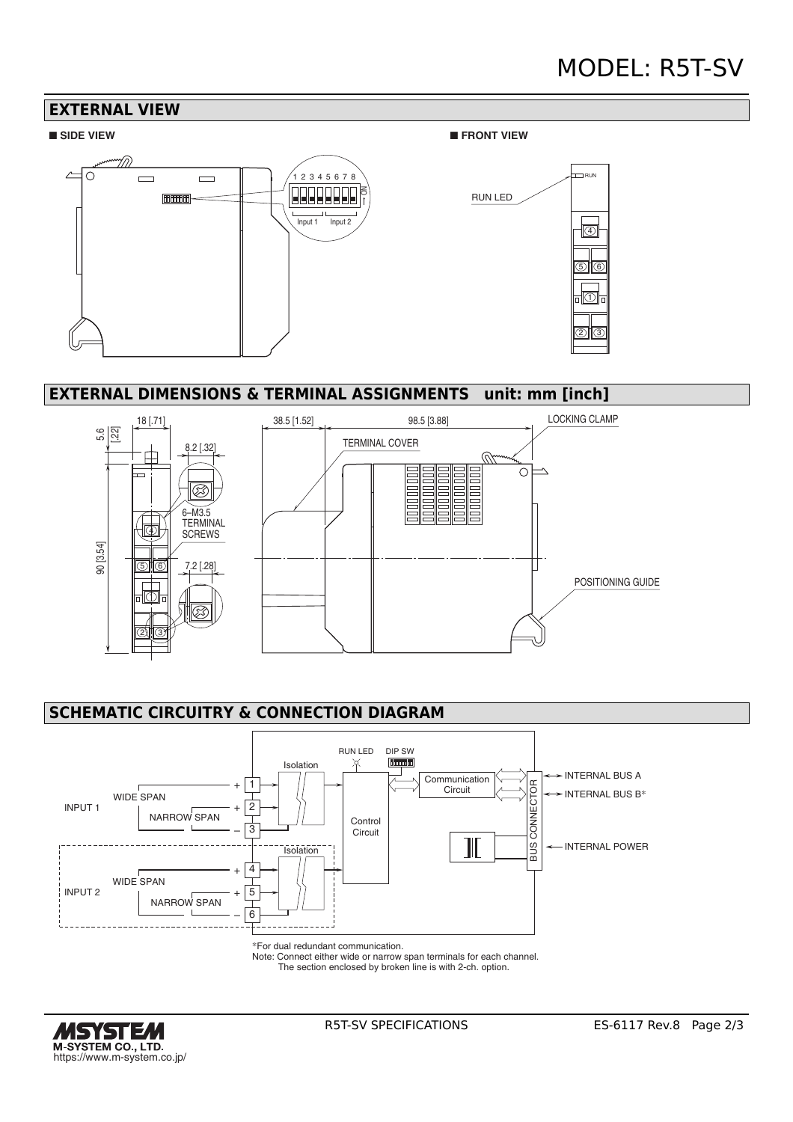# MODEL: R5T-SV



#### **EXTERNAL DIMENSIONS & TERMINAL ASSIGNMENTS unit: mm [inch]**



## **SCHEMATIC CIRCUITRY & CONNECTION DIAGRAM**



\*For dual redundant communication.

Note: Connect either wide or narrow span terminals for each channel. The section enclosed by broken line is with 2-ch. option.